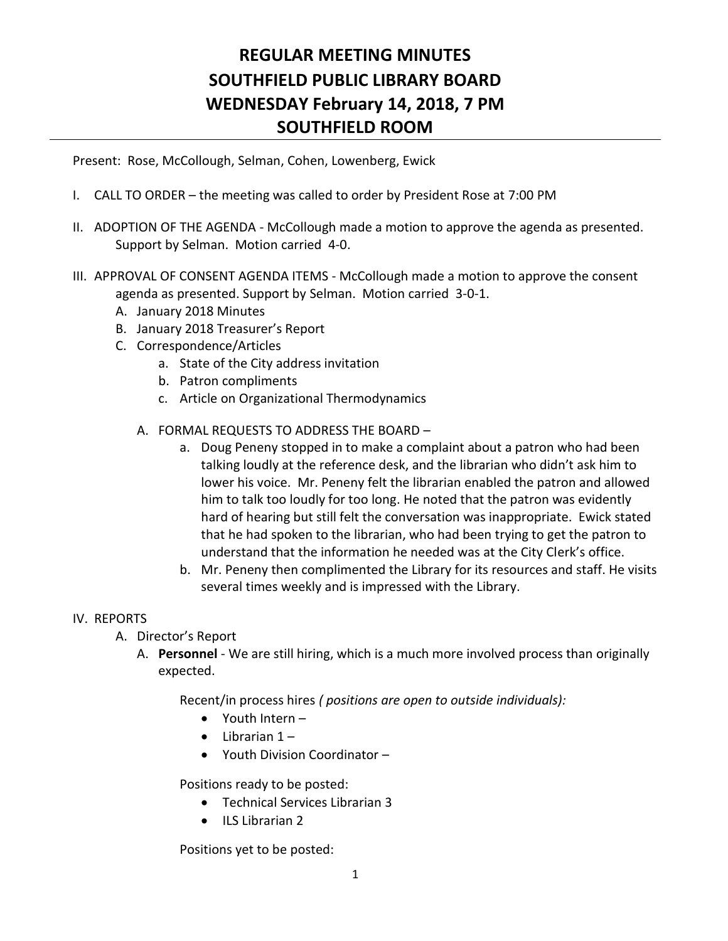# **REGULAR MEETING MINUTES SOUTHFIELD PUBLIC LIBRARY BOARD WEDNESDAY February 14, 2018, 7 PM SOUTHFIELD ROOM**

Present: Rose, McCollough, Selman, Cohen, Lowenberg, Ewick

- I. CALL TO ORDER the meeting was called to order by President Rose at 7:00 PM
- II. ADOPTION OF THE AGENDA McCollough made a motion to approve the agenda as presented. Support by Selman. Motion carried 4-0.
- III. APPROVAL OF CONSENT AGENDA ITEMS McCollough made a motion to approve the consent agenda as presented. Support by Selman. Motion carried 3-0-1.
	- A. January 2018 Minutes
	- B. January 2018 Treasurer's Report
	- C. Correspondence/Articles
		- a. State of the City address invitation
		- b. Patron compliments
		- c. Article on Organizational Thermodynamics
		- A. FORMAL REQUESTS TO ADDRESS THE BOARD
			- a. Doug Peneny stopped in to make a complaint about a patron who had been talking loudly at the reference desk, and the librarian who didn't ask him to lower his voice. Mr. Peneny felt the librarian enabled the patron and allowed him to talk too loudly for too long. He noted that the patron was evidently hard of hearing but still felt the conversation was inappropriate. Ewick stated that he had spoken to the librarian, who had been trying to get the patron to understand that the information he needed was at the City Clerk's office.
			- b. Mr. Peneny then complimented the Library for its resources and staff. He visits several times weekly and is impressed with the Library.

#### IV. REPORTS

- A. Director's Report
	- A. **Personnel** We are still hiring, which is a much more involved process than originally expected.

Recent/in process hires *( positions are open to outside individuals):*

- Youth Intern –
- $\bullet$  Librarian 1 –
- Youth Division Coordinator –

Positions ready to be posted:

- Technical Services Librarian 3
- ILS Librarian 2

Positions yet to be posted: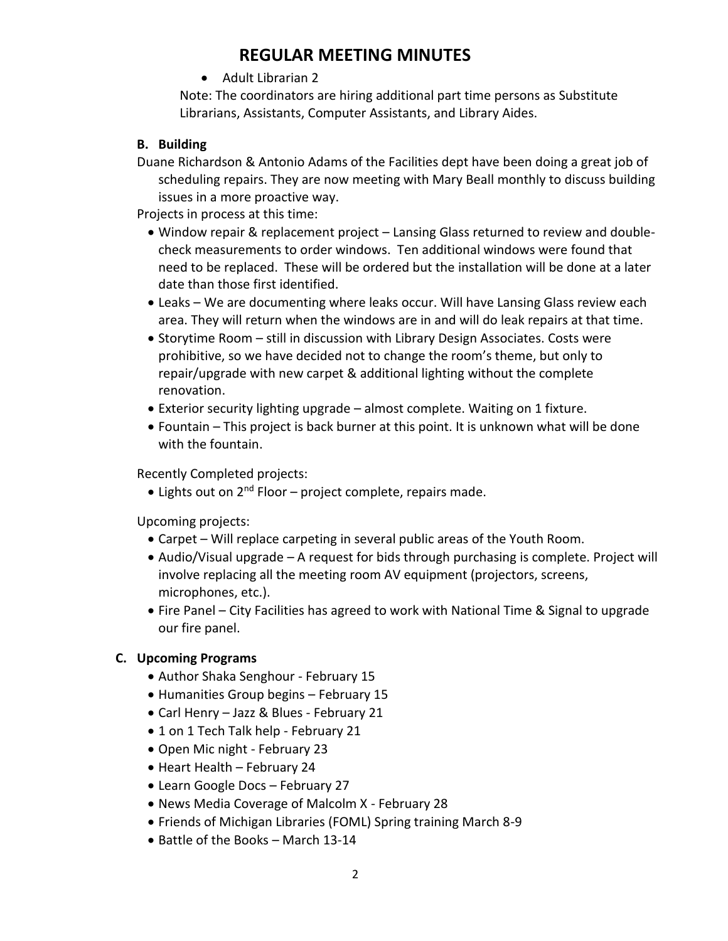## **REGULAR MEETING MINUTES**

• Adult Librarian 2

Note: The coordinators are hiring additional part time persons as Substitute Librarians, Assistants, Computer Assistants, and Library Aides.

#### **B. Building**

Duane Richardson & Antonio Adams of the Facilities dept have been doing a great job of scheduling repairs. They are now meeting with Mary Beall monthly to discuss building issues in a more proactive way.

Projects in process at this time:

- Window repair & replacement project Lansing Glass returned to review and doublecheck measurements to order windows. Ten additional windows were found that need to be replaced. These will be ordered but the installation will be done at a later date than those first identified.
- Leaks We are documenting where leaks occur. Will have Lansing Glass review each area. They will return when the windows are in and will do leak repairs at that time.
- Storytime Room still in discussion with Library Design Associates. Costs were prohibitive, so we have decided not to change the room's theme, but only to repair/upgrade with new carpet & additional lighting without the complete renovation.
- Exterior security lighting upgrade almost complete. Waiting on 1 fixture.
- Fountain This project is back burner at this point. It is unknown what will be done with the fountain.

Recently Completed projects:

 $\bullet$  Lights out on 2<sup>nd</sup> Floor – project complete, repairs made.

Upcoming projects:

- Carpet Will replace carpeting in several public areas of the Youth Room.
- Audio/Visual upgrade A request for bids through purchasing is complete. Project will involve replacing all the meeting room AV equipment (projectors, screens, microphones, etc.).
- Fire Panel City Facilities has agreed to work with National Time & Signal to upgrade our fire panel.

#### **C. Upcoming Programs**

- Author Shaka Senghour February 15
- Humanities Group begins February 15
- Carl Henry Jazz & Blues February 21
- 1 on 1 Tech Talk help February 21
- Open Mic night February 23
- Heart Health February 24
- Learn Google Docs February 27
- News Media Coverage of Malcolm X February 28
- Friends of Michigan Libraries (FOML) Spring training March 8-9
- Battle of the Books March 13-14